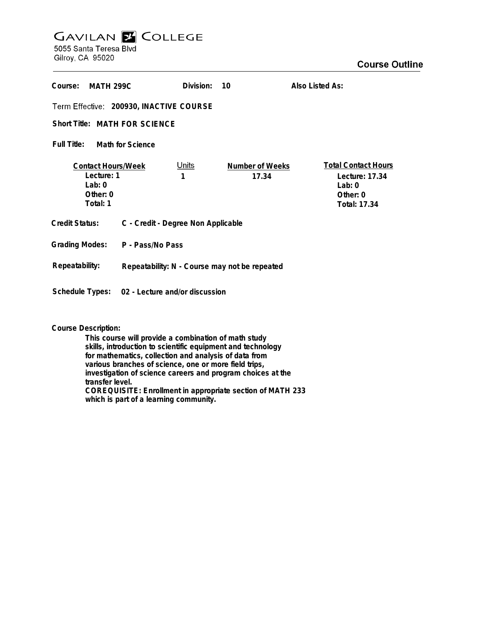## **GAVILAN Z COLLEGE** 5055 Santa Teresa Blvd

Gilroy, CA 95020

| Course:<br><b>MATH 299C</b>                                                   |                                                | Division:         | 10                       | Also Listed As:                                                                        |
|-------------------------------------------------------------------------------|------------------------------------------------|-------------------|--------------------------|----------------------------------------------------------------------------------------|
| Term Effective: 200930, INACTIVE COURSE                                       |                                                |                   |                          |                                                                                        |
| Short Title: MATH FOR SCIENCE                                                 |                                                |                   |                          |                                                                                        |
| Full Title:<br>Math for Science                                               |                                                |                   |                          |                                                                                        |
| <b>Contact Hours/Week</b><br>Lecture: 1<br>Lab: $0$<br>Other: $0$<br>Total: 1 |                                                | <u>Units</u><br>1 | Number of Weeks<br>17.34 | <b>Total Contact Hours</b><br>Lecture: 17.34<br>Lab: $0$<br>Other: $0$<br>Total: 17.34 |
| <b>Credit Status:</b>                                                         | C - Credit - Degree Non Applicable             |                   |                          |                                                                                        |
| <b>Grading Modes:</b>                                                         | P - Pass/No Pass                               |                   |                          |                                                                                        |
| Repeatability:                                                                | Repeatability: N - Course may not be repeated  |                   |                          |                                                                                        |
|                                                                               | Schedule Types: 02 - Lecture and/or discussion |                   |                          |                                                                                        |

## **Course Description:**

**This course will provide a combination of math study skills, introduction to scientific equipment and technology for mathematics, collection and analysis of data from various branches of science, one or more field trips, investigation of science careers and program choices at the transfer level. COREQUISITE: Enrollment in appropriate section of MATH 233 which is part of a learning community.**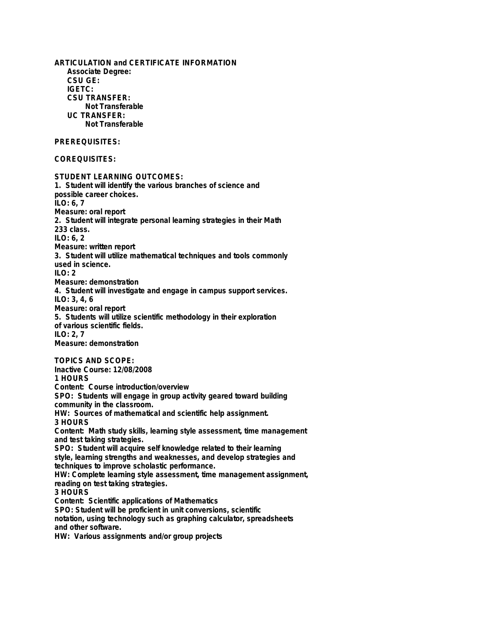**ARTICULATION and CERTIFICATE INFORMATION Associate Degree: CSU GE: IGETC: CSU TRANSFER: Not Transferable UC TRANSFER: Not Transferable PREREQUISITES: COREQUISITES: STUDENT LEARNING OUTCOMES: 1. Student will identify the various branches of science and possible career choices. ILO: 6, 7 Measure: oral report 2. Student will integrate personal learning strategies in their Math 233 class. ILO: 6, 2 Measure: written report 3. Student will utilize mathematical techniques and tools commonly used in science. ILO: 2 Measure: demonstration 4. Student will investigate and engage in campus support services. ILO: 3, 4, 6 Measure: oral report 5. Students will utilize scientific methodology in their exploration of various scientific fields. ILO: 2, 7 Measure: demonstration TOPICS AND SCOPE: Inactive Course: 12/08/2008 1 HOURS Content: Course introduction/overview SPO: Students will engage in group activity geared toward building community in the classroom. HW: Sources of mathematical and scientific help assignment. 3 HOURS Content: Math study skills, learning style assessment, time management and test taking strategies. SPO: Student will acquire self knowledge related to their learning style, learning strengths and weaknesses, and develop strategies and techniques to improve scholastic performance. HW: Complete learning style assessment, time management assignment, reading on test taking strategies. 3 HOURS Content: Scientific applications of Mathematics SPO: Student will be proficient in unit conversions, scientific notation, using technology such as graphing calculator, spreadsheets and other software. HW: Various assignments and/or group projects**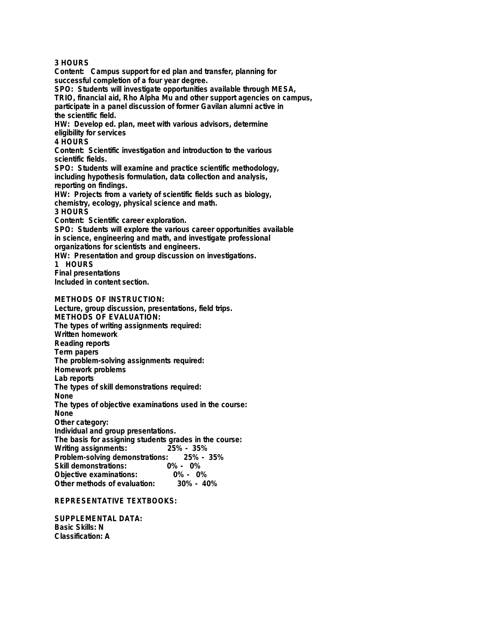**3 HOURS**

**Content: Campus support for ed plan and transfer, planning for successful completion of a four year degree.**

**SPO: Students will investigate opportunities available through MESA,**

**TRIO, financial aid, Rho Alpha Mu and other support agencies on campus, participate in a panel discussion of former Gavilan alumni active in the scientific field.**

**HW: Develop ed. plan, meet with various advisors, determine eligibility for services**

**4 HOURS**

**Content: Scientific investigation and introduction to the various scientific fields.**

**SPO: Students will examine and practice scientific methodology, including hypothesis formulation, data collection and analysis, reporting on findings.**

**HW: Projects from a variety of scientific fields such as biology, chemistry, ecology, physical science and math. 3 HOURS**

**Content: Scientific career exploration.**

**SPO: Students will explore the various career opportunities available in science, engineering and math, and investigate professional organizations for scientists and engineers.**

**HW: Presentation and group discussion on investigations.**

**1 HOURS**

**Final presentations**

**Included in content section.**

**METHODS OF INSTRUCTION:**

**Lecture, group discussion, presentations, field trips. METHODS OF EVALUATION: The types of writing assignments required: Written homework Reading reports Term papers The problem-solving assignments required: Homework problems Lab reports The types of skill demonstrations required: None The types of objective examinations used in the course: None Other category: Individual and group presentations. The basis for assigning students grades in the course: Writing assignments: 25% - 35% Problem-solving demonstrations:**<br>Skill demonstrations: 0% **Skill demonstrations: 0% - 0% Objective examinations: 0% - 0% Other methods of evaluation:** 

**REPRESENTATIVE TEXTBOOKS:**

**SUPPLEMENTAL DATA: Basic Skills: N Classification: A**